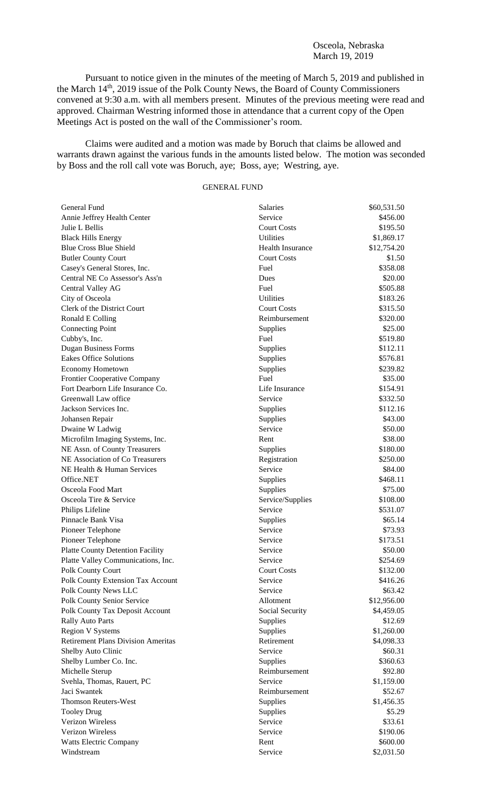### Osceola, Nebraska March 19, 2019

Pursuant to notice given in the minutes of the meeting of March 5, 2019 and published in the March 14<sup>th</sup>, 2019 issue of the Polk County News, the Board of County Commissioners convened at 9:30 a.m. with all members present. Minutes of the previous meeting were read and approved. Chairman Westring informed those in attendance that a current copy of the Open Meetings Act is posted on the wall of the Commissioner's room.

Claims were audited and a motion was made by Boruch that claims be allowed and warrants drawn against the various funds in the amounts listed below. The motion was seconded by Boss and the roll call vote was Boruch, aye; Boss, aye; Westring, aye.

## GENERAL FUND

| General Fund                              | Salaries                | \$60,531.50 |
|-------------------------------------------|-------------------------|-------------|
| Annie Jeffrey Health Center               | Service                 | \$456.00    |
| Julie L Bellis                            | <b>Court Costs</b>      | \$195.50    |
| <b>Black Hills Energy</b>                 | <b>Utilities</b>        | \$1,869.17  |
| <b>Blue Cross Blue Shield</b>             | <b>Health Insurance</b> | \$12,754.20 |
| <b>Butler County Court</b>                | <b>Court Costs</b>      | \$1.50      |
| Casey's General Stores, Inc.              | Fuel                    | \$358.08    |
| Central NE Co Assessor's Ass'n            | Dues                    | \$20.00     |
| Central Valley AG                         | Fuel                    | \$505.88    |
| City of Osceola                           | Utilities               | \$183.26    |
| Clerk of the District Court               | <b>Court Costs</b>      | \$315.50    |
| Ronald E Colling                          | Reimbursement           | \$320.00    |
| <b>Connecting Point</b>                   | Supplies                | \$25.00     |
| Cubby's, Inc.                             | Fuel                    | \$519.80    |
| <b>Dugan Business Forms</b>               | Supplies                | \$112.11    |
| <b>Eakes Office Solutions</b>             | Supplies                | \$576.81    |
| <b>Economy Hometown</b>                   | Supplies                | \$239.82    |
| <b>Frontier Cooperative Company</b>       | Fuel                    | \$35.00     |
| Fort Dearborn Life Insurance Co.          | Life Insurance          | \$154.91    |
| Greenwall Law office                      | Service                 | \$332.50    |
| Jackson Services Inc.                     | Supplies                | \$112.16    |
| Johansen Repair                           | Supplies                | \$43.00     |
| Dwaine W Ladwig                           | Service                 | \$50.00     |
| Microfilm Imaging Systems, Inc.           | Rent                    | \$38.00     |
| NE Assn. of County Treasurers             | Supplies                | \$180.00    |
| NE Association of Co Treasurers           | Registration            | \$250.00    |
| NE Health & Human Services                | Service                 | \$84.00     |
| Office.NET                                | Supplies                | \$468.11    |
| Osceola Food Mart                         | Supplies                | \$75.00     |
| Osceola Tire & Service                    | Service/Supplies        | \$108.00    |
| Philips Lifeline                          | Service                 | \$531.07    |
| Pinnacle Bank Visa                        | Supplies                | \$65.14     |
| Pioneer Telephone                         | Service                 | \$73.93     |
| Pioneer Telephone                         | Service                 | \$173.51    |
| <b>Platte County Detention Facility</b>   | Service                 | \$50.00     |
| Platte Valley Communications, Inc.        | Service                 | \$254.69    |
| Polk County Court                         | <b>Court Costs</b>      | \$132.00    |
| Polk County Extension Tax Account         | Service                 | \$416.26    |
| Polk County News LLC                      | Service                 | \$63.42     |
| Polk County Senior Service                | Allotment               | \$12,956.00 |
| Polk County Tax Deposit Account           | Social Security         | \$4,459.05  |
| <b>Rally Auto Parts</b>                   | Supplies                | \$12.69     |
| <b>Region V Systems</b>                   | Supplies                | \$1,260.00  |
| <b>Retirement Plans Division Ameritas</b> | Retirement              | \$4,098.33  |
| Shelby Auto Clinic                        | Service                 | \$60.31     |
| Shelby Lumber Co. Inc.                    | Supplies                | \$360.63    |
| Michelle Sterup                           | Reimbursement           | \$92.80     |
| Svehla, Thomas, Rauert, PC                | Service                 | \$1,159.00  |
| Jaci Swantek                              | Reimbursement           | \$52.67     |
| <b>Thomson Reuters-West</b>               | Supplies                | \$1,456.35  |
| <b>Tooley Drug</b>                        | Supplies                | \$5.29      |
| Verizon Wireless                          | Service                 | \$33.61     |
| Verizon Wireless                          | Service                 | \$190.06    |
| Watts Electric Company                    | Rent                    | \$600.00    |
| Windstream                                | Service                 | \$2,031.50  |
|                                           |                         |             |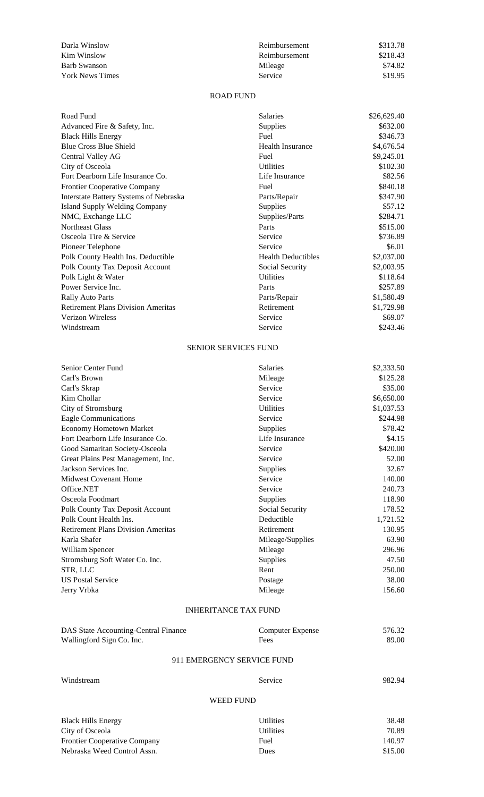| Darla Winslow          | Reimbursement  | \$313.78 |
|------------------------|----------------|----------|
| Kim Winslow            | Reimbursement  | \$218.43 |
| Barb Swanson           | Mileage        | \$74.82  |
| <b>York News Times</b> | <b>Service</b> | \$19.95  |

### ROAD FUND

| Road Fund                                 | <b>Salaries</b>             | \$26,629.40 |
|-------------------------------------------|-----------------------------|-------------|
| Advanced Fire & Safety, Inc.              | Supplies                    | \$632.00    |
| <b>Black Hills Energy</b>                 | Fuel                        | \$346.73    |
| <b>Blue Cross Blue Shield</b>             | <b>Health Insurance</b>     | \$4,676.54  |
| Central Valley AG                         | Fuel                        | \$9,245.01  |
| City of Osceola                           | <b>Utilities</b>            | \$102.30    |
| Fort Dearborn Life Insurance Co.          | Life Insurance              | \$82.56     |
| <b>Frontier Cooperative Company</b>       | Fuel                        | \$840.18    |
| Interstate Battery Systems of Nebraska    | Parts/Repair                | \$347.90    |
| <b>Island Supply Welding Company</b>      | Supplies                    | \$57.12     |
| NMC, Exchange LLC                         | Supplies/Parts              | \$284.71    |
| <b>Northeast Glass</b>                    | Parts                       | \$515.00    |
| Osceola Tire & Service                    | Service                     | \$736.89    |
| Pioneer Telephone                         | Service                     | \$6.01      |
| Polk County Health Ins. Deductible        | <b>Health Deductibles</b>   | \$2,037.00  |
| Polk County Tax Deposit Account           | Social Security             | \$2,003.95  |
| Polk Light & Water                        | <b>Utilities</b>            | \$118.64    |
| Power Service Inc.                        | Parts                       | \$257.89    |
| <b>Rally Auto Parts</b>                   | Parts/Repair                | \$1,580.49  |
| <b>Retirement Plans Division Ameritas</b> | Retirement                  | \$1,729.98  |
| <b>Verizon Wireless</b>                   | Service                     | \$69.07     |
| Windstream                                | Service                     | \$243.46    |
|                                           | <b>SENIOR SERVICES FUND</b> |             |
| Senior Center Fund                        | <b>Salaries</b>             | \$2,333.50  |

| Carl's Brown                              | Mileage          | \$125.28   |
|-------------------------------------------|------------------|------------|
| Carl's Skrap                              | Service          | \$35.00    |
| Kim Chollar                               | Service          | \$6,650.00 |
| City of Stromsburg                        | <b>Utilities</b> | \$1,037.53 |
| <b>Eagle Communications</b>               | Service          | \$244.98   |
| <b>Economy Hometown Market</b>            | Supplies         | \$78.42    |
| Fort Dearborn Life Insurance Co.          | Life Insurance   | \$4.15     |
| Good Samaritan Society-Osceola            | Service          | \$420.00   |
| Great Plains Pest Management, Inc.        | Service          | 52.00      |
| Jackson Services Inc.                     | Supplies         | 32.67      |
| Midwest Covenant Home                     | Service          | 140.00     |
| Office.NET                                | Service          | 240.73     |
| Osceola Foodmart                          | Supplies         | 118.90     |
| Polk County Tax Deposit Account           | Social Security  | 178.52     |
| Polk Count Health Ins.                    | Deductible       | 1,721.52   |
| <b>Retirement Plans Division Ameritas</b> | Retirement       | 130.95     |
| Karla Shafer                              | Mileage/Supplies | 63.90      |
| William Spencer                           | Mileage          | 296.96     |
| Stromsburg Soft Water Co. Inc.            | Supplies         | 47.50      |
| STR, LLC                                  | Rent             | 250.00     |
| <b>US Postal Service</b>                  | Postage          | 38.00      |
| Jerry Vrbka                               | Mileage          | 156.60     |

# INHERITANCE TAX FUND

| DAS State Accounting-Central Finance | Computer Expense           | 576.32 |
|--------------------------------------|----------------------------|--------|
| Wallingford Sign Co. Inc.            | Fees                       | 89.00  |
|                                      | 911 EMERGENCY SERVICE FUND |        |

Windstream Service 982.94

# WEED FUND

| <b>Black Hills Energy</b>           | <b>Utilities</b> | 38.48   |
|-------------------------------------|------------------|---------|
| City of Osceola                     | <b>Utilities</b> | 70.89   |
| <b>Frontier Cooperative Company</b> | Fuel             | 140.97  |
| Nebraska Weed Control Assn.         | <b>Dues</b>      | \$15.00 |